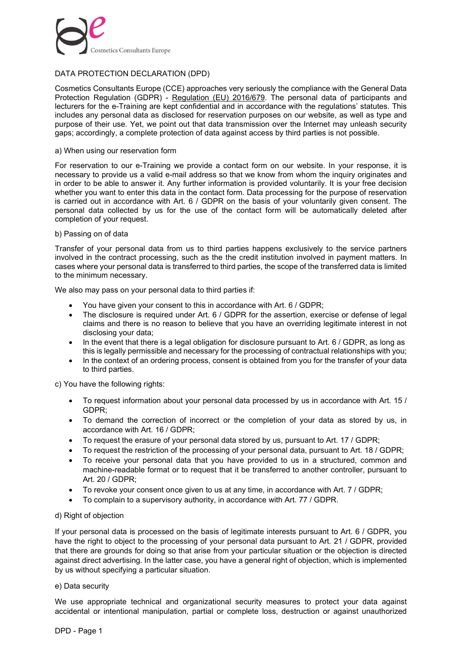

# DATA PROTECTION DECLARATION (DPD)

Cosmetics Consultants Europe (CCE) approaches very seriously the compliance with the General Data Protection Regulation (GDPR) - Regulation (EU) 2016/679. The personal data of participants and lecturers for the e-Training are kept confidential and in accordance with the regulations' statutes. This includes any personal data as disclosed for reservation purposes on our website, as well as type and purpose of their use. Yet, we point out that data transmission over the Internet may unleash security gaps; accordingly, a complete protection of data against access by third parties is not possible.

# a) When using our reservation form

For reservation to our e-Training we provide a contact form on our website. In your response, it is necessary to provide us a valid e-mail address so that we know from whom the inquiry originates and in order to be able to answer it. Any further information is provided voluntarily. It is your free decision whether you want to enter this data in the contact form. Data processing for the purpose of reservation is carried out in accordance with Art. 6 / GDPR on the basis of your voluntarily given consent. The personal data collected by us for the use of the contact form will be automatically deleted after completion of your request.

# b) Passing on of data

Transfer of your personal data from us to third parties happens exclusively to the service partners involved in the contract processing, such as the the credit institution involved in payment matters. In cases where your personal data is transferred to third parties, the scope of the transferred data is limited to the minimum necessary.

We also may pass on your personal data to third parties if:

- You have given your consent to this in accordance with Art. 6 / GDPR;
- The disclosure is required under Art. 6 / GDPR for the assertion, exercise or defense of legal claims and there is no reason to believe that you have an overriding legitimate interest in not disclosing your data;
- $\bullet$  In the event that there is a legal obligation for disclosure pursuant to Art. 6 / GDPR, as long as this is legally permissible and necessary for the processing of contractual relationships with you;
- In the context of an ordering process, consent is obtained from you for the transfer of your data to third parties.

c) You have the following rights:

- To request information about your personal data processed by us in accordance with Art. 15 / GDPR;
- To demand the correction of incorrect or the completion of your data as stored by us, in accordance with Art. 16 / GDPR;
- To request the erasure of your personal data stored by us, pursuant to Art. 17 / GDPR:
- To request the restriction of the processing of your personal data, pursuant to Art. 18 / GDPR;
- To receive your personal data that you have provided to us in a structured, common and machine-readable format or to request that it be transferred to another controller, pursuant to Art. 20 / GDPR;
- To revoke your consent once given to us at any time, in accordance with Art. 7 / GDPR;
- To complain to a supervisory authority, in accordance with Art. 77 / GDPR.

# d) Right of objection

If your personal data is processed on the basis of legitimate interests pursuant to Art. 6 / GDPR, you have the right to object to the processing of your personal data pursuant to Art. 21 / GDPR, provided that there are grounds for doing so that arise from your particular situation or the objection is directed against direct advertising. In the latter case, you have a general right of objection, which is implemented by us without specifying a particular situation.

# e) Data security

We use appropriate technical and organizational security measures to protect your data against accidental or intentional manipulation, partial or complete loss, destruction or against unauthorized